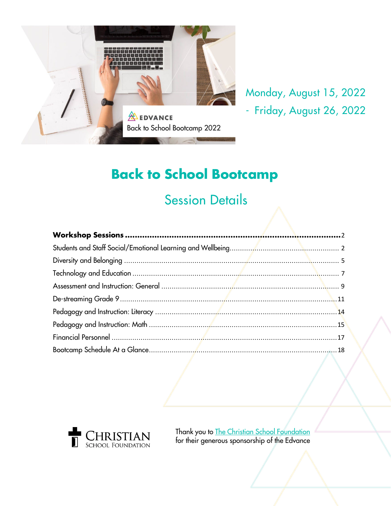

# Monday, August 15, 2022 - Friday, August 26, 2022

# **Back to School Bootcamp**

# Session Details



Thank you to The Christian School [Foundation](https://www.christianschoolfoundation.ca/) for their generous sponsorship of the Edvance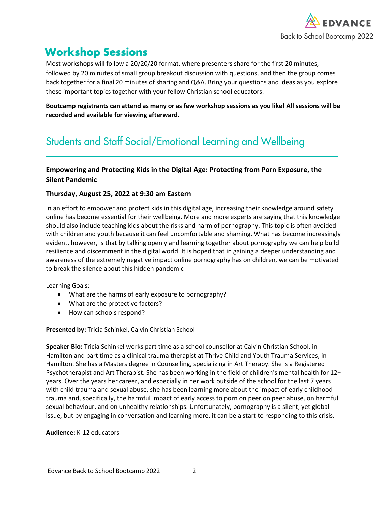

# <span id="page-1-0"></span>**Workshop Sessions**

Most workshops will follow a 20/20/20 format, where presenters share for the first 20 minutes, followed by 20 minutes of small group breakout discussion with questions, and then the group comes back together for a final 20 minutes of sharing and Q&A. Bring your questions and ideas as you explore these important topics together with your fellow Christian school educators.

Bootcamp registrants can attend as many or as few workshop sessions as you like! All sessions will be **recorded and available for viewing afterward.**

# <span id="page-1-1"></span>Students and Staff Social/Emotional Learning and Wellbeing

# **Empowering and Protecting Kids in the Digital Age: Protecting from Porn Exposure, the Silent Pandemic**

# **Thursday, August 25, 2022 at 9:30 am Eastern**

In an effort to empower and protect kids in this digital age, increasing their knowledge around safety online has become essential for their wellbeing. More and more experts are saying that this knowledge should also include teaching kids about the risks and harm of pornography. This topic is often avoided with children and youth because it can feel uncomfortable and shaming. What has become increasingly evident, however, is that by talking openly and learning together about pornography we can help build resilience and discernment in the digital world. It is hoped that in gaining a deeper understanding and awareness of the extremely negative impact online pornography has on children, we can be motivated to break the silence about this hidden pandemic

Learning Goals:

- What are the harms of early exposure to pornography?
- What are the protective factors?
- How can schools respond?

### **Presented by:** Tricia Schinkel, Calvin Christian School

**Speaker Bio:** Tricia Schinkel works part time as a school counsellor at Calvin Christian School, in Hamilton and part time as a clinical trauma therapist at Thrive Child and Youth Trauma Services, in Hamilton. She has a Masters degree in Counselling, specializing in Art Therapy. She is a Registered Psychotherapist and Art Therapist. She has been working in the field of children's mental health for 12+ years. Over the years her career, and especially in her work outside of the school for the last 7 years with child trauma and sexual abuse, she has been learning more about the impact of early childhood trauma and, specifically, the harmful impact of early access to porn on peer on peer abuse, on harmful sexual behaviour, and on unhealthy relationships. Unfortunately, pornography is a silent, yet global issue, but by engaging in conversation and learning more, it can be a start to responding to this crisis.

### **Audience:** K-12 educators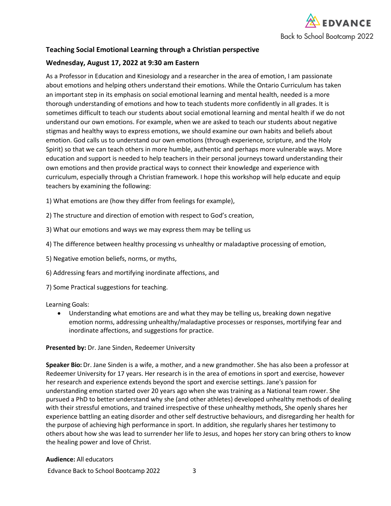

# **Teaching Social Emotional Learning through a Christian perspective**

# **Wednesday, August 17, 2022 at 9:30 am Eastern**

As a Professor in Education and Kinesiology and a researcher in the area of emotion, I am passionate about emotions and helping others understand their emotions. While the Ontario Curriculum has taken an important step in its emphasis on social emotional learning and mental health, needed is a more thorough understanding of emotions and how to teach students more confidently in all grades. It is sometimes difficult to teach our students about social emotional learning and mental health if we do not understand our own emotions. For example, when we are asked to teach our students about negative stigmas and healthy ways to express emotions, we should examine our own habits and beliefs about emotion. God calls us to understand our own emotions (through experience, scripture, and the Holy Spirit) so that we can teach others in more humble, authentic and perhaps more vulnerable ways. More education and support is needed to help teachers in their personal journeys toward understanding their own emotions and then provide practical ways to connect their knowledge and experience with curriculum, especially through a Christian framework. I hope this workshop will help educate and equip teachers by examining the following:

1) What emotions are (how they differ from feelings for example),

- 2) The structure and direction of emotion with respect to God's creation,
- 3) What our emotions and ways we may express them may be telling us
- 4) The difference between healthy processing vs unhealthy or maladaptive processing of emotion,
- 5) Negative emotion beliefs, norms, or myths,
- 6) Addressing fears and mortifying inordinate affections, and
- 7) Some Practical suggestions for teaching.

Learning Goals:

• Understanding what emotions are and what they may be telling us, breaking down negative emotion norms, addressing unhealthy/maladaptive processes or responses, mortifying fear and inordinate affections, and suggestions for practice.

**Presented by:** Dr. Jane Sinden, Redeemer University

**Speaker Bio:** Dr. Jane Sinden is a wife, a mother, and a new grandmother. She has also been a professor at Redeemer University for 17 years. Her research is in the area of emotions in sport and exercise, however her research and experience extends beyond the sport and exercise settings. Jane's passion for understanding emotion started over 20 years ago when she was training as a National team rower. She pursued a PhD to better understand why she (and other athletes) developed unhealthy methods of dealing with their stressful emotions, and trained irrespective of these unhealthy methods, She openly shares her experience battling an eating disorder and other self destructive behaviours, and disregarding her health for the purpose of achieving high performance in sport. In addition, she regularly shares her testimony to others about how she was lead to surrender her life to Jesus, and hopes her story can bring others to know the healing power and love of Christ.

#### **Audience:** All educators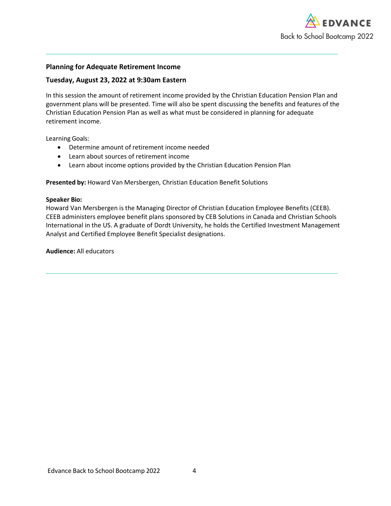

### **Planning for Adequate Retirement Income**

### **Tuesday, August 23, 2022 at 9:30am Eastern**

In this session the amount of retirement income provided by the Christian Education Pension Plan and government plans will be presented. Time will also be spent discussing the benefits and features of the Christian Education Pension Plan as well as what must be considered in planning for adequate retirement income.

Learning Goals:

- Determine amount of retirement income needed
- Learn about sources of retirement income
- Learn about income options provided by the Christian Education Pension Plan

**Presented by:** Howard Van Mersbergen, Christian Education Benefit Solutions

#### **Speaker Bio:**

Howard Van Mersbergen is the Managing Director of Christian Education Employee Benefits (CEEB). CEEB administers employee benefit plans sponsored by CEB Solutions in Canada and Christian Schools International in the US. A graduate of Dordt University, he holds the Certified Investment Management Analyst and Certified Employee Benefit Specialist designations.

<span id="page-3-0"></span>**Audience:** All educators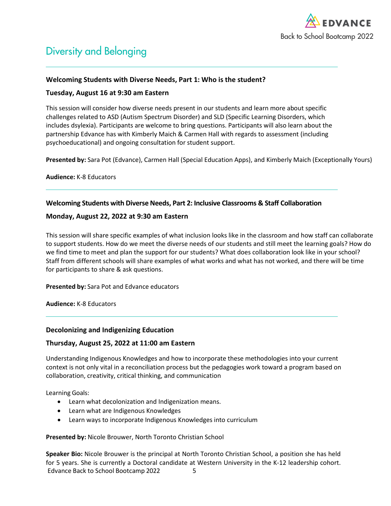

# Diversity and Belonging

### **Welcoming Students with Diverse Needs, Part 1: Who is the student?**

### **Tuesday, August 16 at 9:30 am Eastern**

This session will consider how diverse needs present in our students and learn more about specific challenges related to ASD (Autism Spectrum Disorder) and SLD (Specific Learning Disorders, which includes dsylexia). Participants are welcome to bring questions. Participants will also learn about the partnership Edvance has with Kimberly Maich & Carmen Hall with regards to assessment (including psychoeducational) and ongoing consultation for student support.

**Presented by:** Sara Pot (Edvance), Carmen Hall (Special Education Apps), and Kimberly Maich (Exceptionally Yours)

**Audience:** K-8 Educators

### **Welcoming Students with Diverse Needs, Part 2: Inclusive Classrooms & Staff Collaboration**

### **Monday, August 22, 2022 at 9:30 am Eastern**

This session will share specific examples of what inclusion looks like in the classroom and how staff can collaborate to support students. How do we meet the diverse needs of our students and still meet the learning goals? How do we find time to meet and plan the support for our students? What does collaboration look like in your school? Staff from different schools will share examples of what works and what has not worked, and there will be time for participants to share & ask questions.

**Presented by:** Sara Pot and Edvance educators

**Audience:** K-8 Educators

### **Decolonizing and Indigenizing Education**

### **Thursday, August 25, 2022 at 11:00 am Eastern**

Understanding Indigenous Knowledges and how to incorporate these methodologies into your current context is not only vital in a reconciliation process but the pedagogies work toward a program based on collaboration, creativity, critical thinking, and communication

Learning Goals:

- Learn what decolonization and Indigenization means.
- Learn what are Indigenous Knowledges
- Learn ways to incorporate Indigenous Knowledges into curriculum

### **Presented by:** Nicole Brouwer, North Toronto Christian School

Edvance Back to School Bootcamp 2022 5 **Speaker Bio:** Nicole Brouwer is the principal at North Toronto Christian School, a position she has held for 5 years. She is currently a Doctoral candidate at Western University in the K-12 leadership cohort.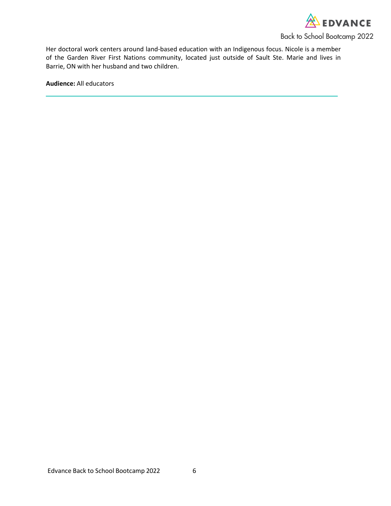

Her doctoral work centers around land-based education with an Indigenous focus. Nicole is a member of the Garden River First Nations community, located just outside of Sault Ste. Marie and lives in Barrie, ON with her husband and two children.

<span id="page-5-0"></span>**Audience:** All educators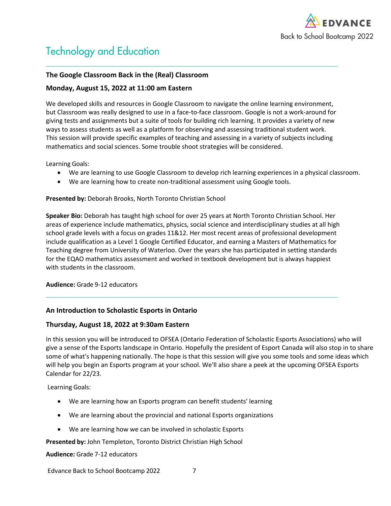

# Technology and Education

# **The Google Classroom Back in the (Real) Classroom**

# **Monday, August 15, 2022 at 11:00 am Eastern**

We developed skills and resources in Google Classroom to navigate the online learning environment, but Classroom was really designed to use in a face-to-face classroom. Google is not a work-around for giving tests and assignments but a suite of tools for building rich learning. It provides a variety of new ways to assess students as well as a platform for observing and assessing traditional student work. This session will provide specific examples of teaching and assessing in a variety of subjects including mathematics and social sciences. Some trouble shoot strategies will be considered.

Learning Goals:

- We are learning to use Google Classroom to develop rich learning experiences in a physical classroom.
- We are learning how to create non-traditional assessment using Google tools.

#### **Presented by:** Deborah Brooks, North Toronto Christian School

**Speaker Bio:** Deborah has taught high school for over 25 years at North Toronto Christian School. Her areas of experience include mathematics, physics, social science and interdisciplinary studies at all high school grade levels with a focus on grades 11&12. Her most recent areas of professional development include qualification as a Level 1 Google Certified Educator, and earning a Masters of Mathematics for Teaching degree from University of Waterloo. Over the years she has participated in setting standards for the EQAO mathematics assessment and worked in textbook development but is always happiest with students in the classroom.

#### **Audience:** Grade 9-12 educators

# **An Introduction to Scholastic Esports in Ontario**

### **Thursday, August 18, 2022 at 9:30am Eastern**

In this session you will be introduced to OFSEA (Ontario Federation of Scholastic Esports Associations) who will give a sense of the Esports landscape in Ontario. Hopefully the president of Esport Canada will also stop in to share some of what's happening nationally. The hope is that this session will give you some tools and some ideas which will help you begin an Esports program at your school. We'll also share a peek at the upcoming OFSEA Esports Calendar for 22/23.

Learning Goals:

- We are learning how an Esports program can benefit students' learning
- We are learning about the provincial and national Esports organizations
- We are learning how we can be involved in scholastic Esports

**Presented by:** John Templeton, Toronto District Christian High School

**Audience:** Grade 7-12 educators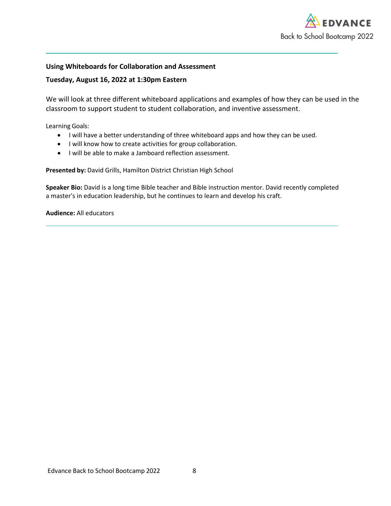

### **Using Whiteboards for Collaboration and Assessment**

### **Tuesday, August 16, 2022 at 1:30pm Eastern**

We will look at three different whiteboard applications and examples of how they can be used in the classroom to support student to student collaboration, and inventive assessment.

Learning Goals:

- I will have a better understanding of three whiteboard apps and how they can be used.
- I will know how to create activities for group collaboration.
- I will be able to make a Jamboard reflection assessment.

**Presented by:** David Grills, Hamilton District Christian High School

**Speaker Bio:** David is a long time Bible teacher and Bible instruction mentor. David recently completed a master's in education leadership, but he continues to learn and develop his craft.

**Audience:** All educators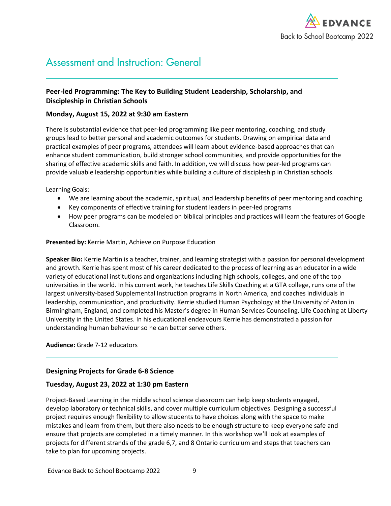

# <span id="page-8-0"></span>Assessment and Instruction: General

# **Peer-led Programming: The Key to Building Student Leadership, Scholarship, and Discipleship in Christian Schools**

### **Monday, August 15, 2022 at 9:30 am Eastern**

There is substantial evidence that peer-led programming like peer mentoring, coaching, and study groups lead to better personal and academic outcomes for students. Drawing on empirical data and practical examples of peer programs, attendees will learn about evidence-based approaches that can enhance student communication, build stronger school communities, and provide opportunities for the sharing of effective academic skills and faith. In addition, we will discuss how peer-led programs can provide valuable leadership opportunities while building a culture of discipleship in Christian schools.

Learning Goals:

- We are learning about the academic, spiritual, and leadership benefits of peer mentoring and coaching.
- Key components of effective training for student leaders in peer-led programs
- How peer programs can be modeled on biblical principles and practices will learn the features of Google Classroom.

#### **Presented by:** Kerrie Martin, Achieve on Purpose Education

**Speaker Bio:** Kerrie Martin is a teacher, trainer, and learning strategist with a passion for personal development and growth. Kerrie has spent most of his career dedicated to the process of learning as an educator in a wide variety of educational institutions and organizations including high schools, colleges, and one of the top universities in the world. In his current work, he teaches Life Skills Coaching at a GTA college, runs one of the largest university-based Supplemental Instruction programs in North America, and coaches individuals in leadership, communication, and productivity. Kerrie studied Human Psychology at the University of Aston in Birmingham, England, and completed his Master's degree in Human Services Counseling, Life Coaching at Liberty University in the United States. In his educational endeavours Kerrie has demonstrated a passion for understanding human behaviour so he can better serve others.

### **Audience:** Grade 7-12 educators

### **Designing Projects for Grade 6-8 Science**

### **Tuesday, August 23, 2022 at 1:30 pm Eastern**

Project-Based Learning in the middle school science classroom can help keep students engaged, develop laboratory or technical skills, and cover multiple curriculum objectives. Designing a successful project requires enough flexibility to allow students to have choices along with the space to make mistakes and learn from them, but there also needs to be enough structure to keep everyone safe and ensure that projects are completed in a timely manner. In this workshop we'll look at examples of projects for different strands of the grade 6,7, and 8 Ontario curriculum and steps that teachers can take to plan for upcoming projects.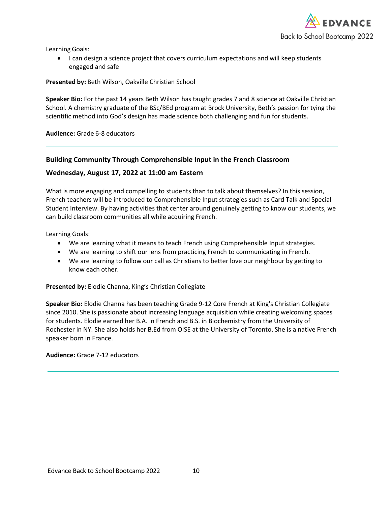

Learning Goals:

• I can design a science project that covers curriculum expectations and will keep students engaged and safe

#### **Presented by:** Beth Wilson, Oakville Christian School

**Speaker Bio:** For the past 14 years Beth Wilson has taught grades 7 and 8 science at Oakville Christian School. A chemistry graduate of the BSc/BEd program at Brock University, Beth's passion for tying the scientific method into God's design has made science both challenging and fun for students.

**Audience:** Grade 6-8 educators

### **Building Community Through Comprehensible Input in the French Classroom**

### **Wednesday, August 17, 2022 at 11:00 am Eastern**

What is more engaging and compelling to students than to talk about themselves? In this session, French teachers will be introduced to Comprehensible Input strategies such as Card Talk and Special Student Interview. By having activities that center around genuinely getting to know our students, we can build classroom communities all while acquiring French.

Learning Goals:

- We are learning what it means to teach French using Comprehensible Input strategies.
- We are learning to shift our lens from practicing French to communicating in French.
- We are learning to follow our call as Christians to better love our neighbour by getting to know each other.

**Presented by:** Elodie Channa, King's Christian Collegiate

**Speaker Bio:** Elodie Channa has been teaching Grade 9-12 Core French at King's Christian Collegiate since 2010. She is passionate about increasing language acquisition while creating welcoming spaces for students. Elodie earned her B.A. in French and B.S. in Biochemistry from the University of Rochester in NY. She also holds her B.Ed from OISE at the University of Toronto. She is a native French speaker born in France.

<span id="page-9-0"></span>**Audience:** Grade 7-12 educators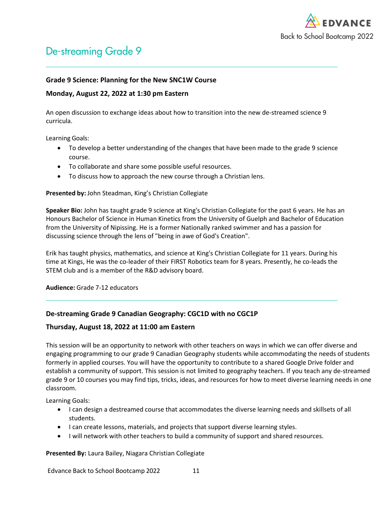

# De-streaming Grade 9

### **Grade 9 Science: Planning for the New SNC1W Course**

### **Monday, August 22, 2022 at 1:30 pm Eastern**

An open discussion to exchange ideas about how to transition into the new de-streamed science 9 curricula.

Learning Goals:

- To develop a better understanding of the changes that have been made to the grade 9 science course.
- To collaborate and share some possible useful resources.
- To discuss how to approach the new course through a Christian lens.

### **Presented by:** John Steadman, King's Christian Collegiate

**Speaker Bio:** John has taught grade 9 science at King's Christian Collegiate for the past 6 years. He has an Honours Bachelor of Science in Human Kinetics from the University of Guelph and Bachelor of Education from the University of Nipissing. He is a former Nationally ranked swimmer and has a passion for discussing science through the lens of "being in awe of God's Creation".

Erik has taught physics, mathematics, and science at King's Christian Collegiate for 11 years. During his time at Kings, He was the co-leader of their FIRST Robotics team for 8 years. Presently, he co-leads the STEM club and is a member of the R&D advisory board.

**Audience:** Grade 7-12 educators

# **De-streaming Grade 9 Canadian Geography: CGC1D with no CGC1P**

### **Thursday, August 18, 2022 at 11:00 am Eastern**

This session will be an opportunity to network with other teachers on ways in which we can offer diverse and engaging programming to our grade 9 Canadian Geography students while accommodating the needs of students formerly in applied courses. You will have the opportunity to contribute to a shared Google Drive folder and establish a community of support. This session is not limited to geography teachers. If you teach any de-streamed grade 9 or 10 courses you may find tips, tricks, ideas, and resources for how to meet diverse learning needs in one classroom.

Learning Goals:

- I can design a destreamed course that accommodates the diverse learning needs and skillsets of all students.
- I can create lessons, materials, and projects that support diverse learning styles.
- I will network with other teachers to build a community of support and shared resources.

**Presented By:** Laura Bailey, Niagara Christian Collegiate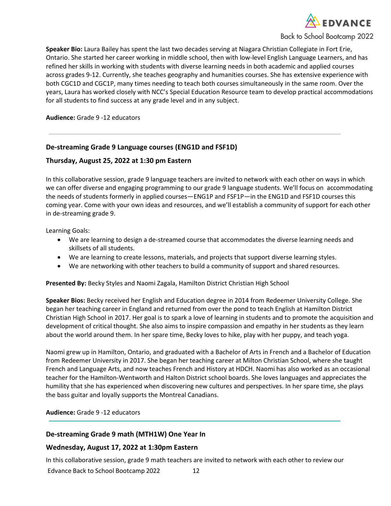

**Speaker Bio:** Laura Bailey has spent the last two decades serving at Niagara Christian Collegiate in Fort Erie, Ontario. She started her career working in middle school, then with low-level English Language Learners, and has refined her skills in working with students with diverse learning needs in both academic and applied courses across grades 9-12. Currently, she teaches geography and humanities courses. She has extensive experience with both CGC1D and CGC1P, many times needing to teach both courses simultaneously in the same room. Over the years, Laura has worked closely with NCC's Special Education Resource team to develop practical accommodations for all students to find success at any grade level and in any subject.

<span id="page-11-0"></span>**Audience:** Grade 9 -12 educators

### **De-streaming Grade 9 Language courses (ENG1D and FSF1D)**

### **Thursday, August 25, 2022 at 1:30 pm Eastern**

In this collaborative session, grade 9 language teachers are invited to network with each other on ways in which we can offer diverse and engaging programming to our grade 9 language students. We'll focus on accommodating the needs of students formerly in applied courses—ENG1P and FSF1P—in the ENG1D and FSF1D courses this coming year. Come with your own ideas and resources, and we'll establish a community of support for each other in de-streaming grade 9.

Learning Goals:

- We are learning to design a de-streamed course that accommodates the diverse learning needs and skillsets of all students.
- We are learning to create lessons, materials, and projects that support diverse learning styles.
- We are networking with other teachers to build a community of support and shared resources.

**Presented By:** Becky Styles and Naomi Zagala, Hamilton District Christian High School

**Speaker Bios:** Becky received her English and Education degree in 2014 from Redeemer University College. She began her teaching career in England and returned from over the pond to teach English at Hamilton District Christian High School in 2017. Her goal is to spark a love of learning in students and to promote the acquisition and development of critical thought. She also aims to inspire compassion and empathy in her students as they learn about the world around them. In her spare time, Becky loves to hike, play with her puppy, and teach yoga.

Naomi grew up in Hamilton, Ontario, and graduated with a Bachelor of Arts in French and a Bachelor of Education from Redeemer University in 2017. She began her teaching career at Milton Christian School, where she taught French and Language Arts, and now teaches French and History at HDCH. Naomi has also worked as an occasional teacher for the Hamilton-Wentworth and Halton District school boards. She loves languages and appreciates the humility that she has experienced when discovering new cultures and perspectives. In her spare time, she plays the bass guitar and loyally supports the Montreal Canadians.

**Audience:** Grade 9 -12 educators

# **De-streaming Grade 9 math (MTH1W) One Year In**

### **Wednesday, August 17, 2022 at 1:30pm Eastern**

In this collaborative session, grade 9 math teachers are invited to network with each other to review our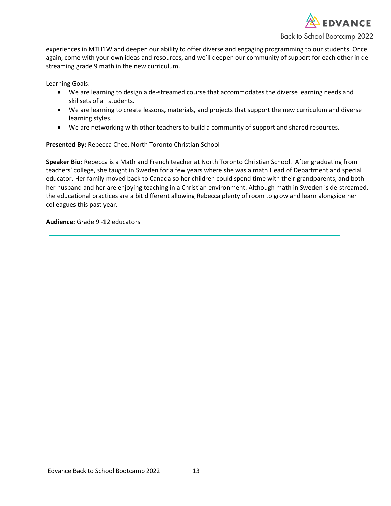

experiences in MTH1W and deepen our ability to offer diverse and engaging programming to our students. Once again, come with your own ideas and resources, and we'll deepen our community of support for each other in destreaming grade 9 math in the new curriculum.

Learning Goals:

- We are learning to design a de-streamed course that accommodates the diverse learning needs and skillsets of all students.
- We are learning to create lessons, materials, and projects that support the new curriculum and diverse learning styles.
- We are networking with other teachers to build a community of support and shared resources.

**Presented By:** Rebecca Chee, North Toronto Christian School

**Speaker Bio:** Rebecca is a Math and French teacher at North Toronto Christian School. After graduating from teachers' college, she taught in Sweden for a few years where she was a math Head of Department and special educator. Her family moved back to Canada so her children could spend time with their grandparents, and both her husband and her are enjoying teaching in a Christian environment. Although math in Sweden is de-streamed, the educational practices are a bit different allowing Rebecca plenty of room to grow and learn alongside her colleagues this past year.

**Audience:** Grade 9 -12 educators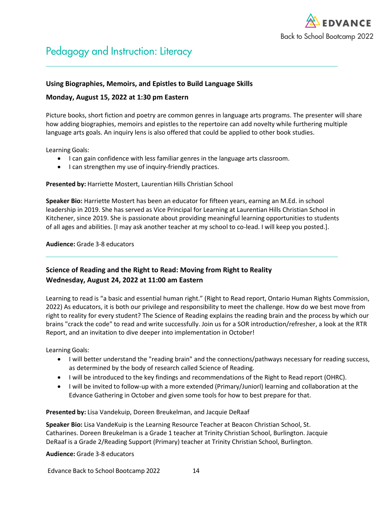

# Pedagogy and Instruction: Literacy

### **Using Biographies, Memoirs, and Epistles to Build Language Skills**

### **Monday, August 15, 2022 at 1:30 pm Eastern**

Picture books, short fiction and poetry are common genres in language arts programs. The presenter will share how adding biographies, memoirs and epistles to the repertoire can add novelty while furthering multiple language arts goals. An inquiry lens is also offered that could be applied to other book studies.

Learning Goals:

- I can gain confidence with less familiar genres in the language arts classroom.
- I can strengthen my use of inquiry-friendly practices.

#### **Presented by:** Harriette Mostert, Laurentian Hills Christian School

**Speaker Bio:** Harriette Mostert has been an educator for fifteen years, earning an M.Ed. in school leadership in 2019. She has served as Vice Principal for Learning at Laurentian Hills Christian School in Kitchener, since 2019. She is passionate about providing meaningful learning opportunities to students of all ages and abilities. [I may ask another teacher at my school to co-lead. I will keep you posted.].

**Audience:** Grade 3-8 educators

# **Science of Reading and the Right to Read: Moving from Right to Reality Wednesday, August 24, 2022 at 11:00 am Eastern**

Learning to read is "a basic and essential human right." (Right to Read report, Ontario Human Rights Commission, 2022) As educators, it is both our privilege and responsibility to meet the challenge. How do we best move from right to reality for every student? The Science of Reading explains the reading brain and the process by which our brains "crack the code" to read and write successfully. Join us for a SOR introduction/refresher, a look at the RTR Report, and an invitation to dive deeper into implementation in October!

Learning Goals:

- I will better understand the "reading brain" and the connections/pathways necessary for reading success, as determined by the body of research called Science of Reading.
- I will be introduced to the key findings and recommendations of the Right to Read report (OHRC).
- I will be invited to follow-up with a more extended (Primary/Juniorl) learning and collaboration at the Edvance Gathering in October and given some tools for how to best prepare for that.

**Presented by:** Lisa Vandekuip, Doreen Breukelman, and Jacquie DeRaaf

**Speaker Bio:** Lisa VandeKuip is the Learning Resource Teacher at Beacon Christian School, St. Catharines. Doreen Breukelman is a Grade 1 teacher at Trinity Christian School, Burlington. Jacquie DeRaaf is a Grade 2/Reading Support (Primary) teacher at Trinity Christian School, Burlington.

**Audience:** Grade 3-8 educators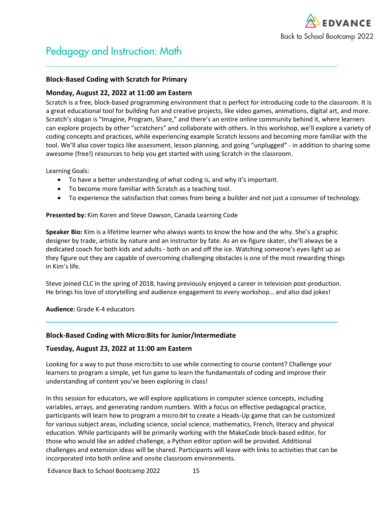

# <span id="page-14-0"></span>Pedagogy and Instruction: Math

### **Block-Based Coding with Scratch for Primary**

### **Monday, August 22, 2022 at 11:00 am Eastern**

Scratch is a free, block-based programming environment that is perfect for introducing code to the classroom. It is a great educational tool for building fun and creative projects, like video games, animations, digital art, and more. Scratch's slogan is "Imagine, Program, Share," and there's an entire online community behind it, where learners can explore projects by other "scratchers" and collaborate with others. In this workshop, we'll explore a variety of coding concepts and practices, while experiencing example Scratch lessons and becoming more familiar with the tool. We'll also cover topics like assessment, lesson planning, and going "unplugged" - in addition to sharing some awesome (free!) resources to help you get started with using Scratch in the classroom.

Learning Goals:

- To have a better understanding of what coding is, and why it's important.
- To become more familiar with Scratch as a teaching tool.
- To experience the satisfaction that comes from being a builder and not just a consumer of technology.

### **Presented by:** Kim Koren and Steve Dawson, Canada Learning Code

**Speaker Bio:** Kim is a lifetime learner who always wants to know the how and the why. She's a graphic designer by trade, artistic by nature and an instructor by fate. As an ex-figure skater, she'll always be a dedicated coach for both kids and adults - both on and off the ice. Watching someone's eyes light up as they figure out they are capable of overcoming challenging obstacles is one of the most rewarding things in Kim's life.

Steve joined CLC in the spring of 2018, having previously enjoyed a career in television post-production. He brings his love of storytelling and audience engagement to every workshop… and also dad jokes!

### **Audience:** Grade K-4 educators

### **Block-Based Coding with Micro:Bits for Junior/Intermediate**

### **Tuesday, August 23, 2022 at 11:00 am Eastern**

Looking for a way to put those micro:bits to use while connecting to course content? Challenge your learners to program a simple, yet fun game to learn the fundamentals of coding and improve their understanding of content you've been exploring in class!

In this session for educators, we will explore applications in computer science concepts, including variables, arrays, and generating random numbers. With a focus on effective pedagogical practice, participants will learn how to program a micro:bit to create a Heads-Up game that can be customized for various subject areas, including science, social science, mathematics, French, literacy and physical education. While participants will be primarily working with the MakeCode block-based editor, for those who would like an added challenge, a Python editor option will be provided. Additional challenges and extension ideas will be shared. Participants will leave with links to activities that can be incorporated into both online and onsite classroom environments.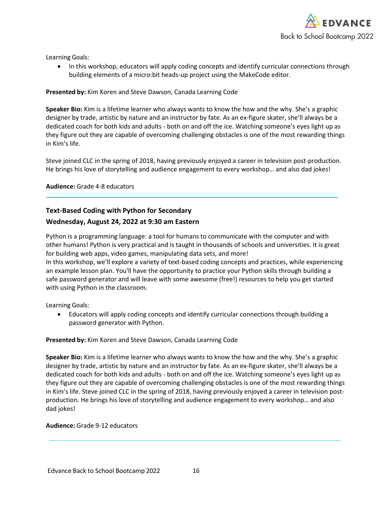

Learning Goals:

• In this workshop, educators will apply coding concepts and identify curricular connections through building elements of a micro:bit heads-up project using the MakeCode editor.

### **Presented by:** Kim Koren and Steve Dawson, Canada Learning Code

**Speaker Bio:** Kim is a lifetime learner who always wants to know the how and the why. She's a graphic designer by trade, artistic by nature and an instructor by fate. As an ex-figure skater, she'll always be a dedicated coach for both kids and adults - both on and off the ice. Watching someone's eyes light up as they figure out they are capable of overcoming challenging obstacles is one of the most rewarding things in Kim's life.

Steve joined CLC in the spring of 2018, having previously enjoyed a career in television post-production. He brings his love of storytelling and audience engagement to every workshop… and also dad jokes!

### **Audience:** Grade 4-8 educators

# **Text-Based Coding with Python for Secondary**

# **Wednesday, August 24, 2022 at 9:30 am Eastern**

Python is a programming language: a tool for humans to communicate with the computer and with other humans! Python is very practical and is taught in thousands of schools and universities. It is great for building web apps, video games, manipulating data sets, and more! In this workshop, we'll explore a variety of text-based coding concepts and practices, while experiencing an example lesson plan. You'll have the opportunity to practice your Python skills through building a safe password generator and will leave with some awesome (free!) resources to help you get started with using Python in the classroom.

Learning Goals:

• Educators will apply coding concepts and identify curricular connections through building a password generator with Python.

### **Presented by:** Kim Koren and Steve Dawson, Canada Learning Code

**Speaker Bio:** Kim is a lifetime learner who always wants to know the how and the why. She's a graphic designer by trade, artistic by nature and an instructor by fate. As an ex-figure skater, she'll always be a dedicated coach for both kids and adults - both on and off the ice. Watching someone's eyes light up as they figure out they are capable of overcoming challenging obstacles is one of the most rewarding things in Kim's life. Steve joined CLC in the spring of 2018, having previously enjoyed a career in television postproduction. He brings his love of storytelling and audience engagement to every workshop… and also dad jokes!

### <span id="page-15-0"></span>**Audience:** Grade 9-12 educators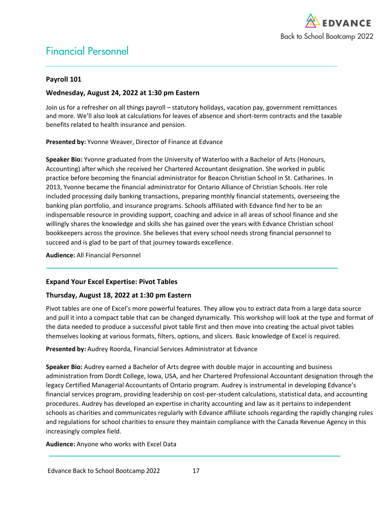

# Financial Personnel

# **Payroll 101**

# **Wednesday, August 24, 2022 at 1:30 pm Eastern**

Join us for a refresher on all things payroll – statutory holidays, vacation pay, government remittances and more. We'll also look at calculations for leaves of absence and short-term contracts and the taxable benefits related to health insurance and pension.

**Presented by:** Yvonne Weaver, Director of Finance at Edvance

**Speaker Bio:** Yvonne graduated from the University of Waterloo with a Bachelor of Arts (Honours, Accounting) after which she received her Chartered Accountant designation. She worked in public practice before becoming the financial administrator for Beacon Christian School in St. Catharines. In 2013, Yvonne became the financial administrator for Ontario Alliance of Christian Schools. Her role included processing daily banking transactions, preparing monthly financial statements, overseeing the banking plan portfolio, and insurance programs. Schools affiliated with Edvance find her to be an indispensable resource in providing support, coaching and advice in all areas of school finance and she willingly shares the knowledge and skills she has gained over the years with Edvance Christian school bookkeepers across the province. She believes that every school needs strong financial personnel to succeed and is glad to be part of that journey towards excellence.

**Audience:** All Financial Personnel

# **Expand Your Excel Expertise: Pivot Tables**

# **Thursday, August 18, 2022 at 1:30 pm Eastern**

Pivot tables are one of Excel's more powerful features. They allow you to extract data from a large data source and pull it into a compact table that can be changed dynamically. This workshop will look at the type and format of the data needed to produce a successful pivot table first and then move into creating the actual pivot tables themselves looking at various formats, filters, options, and slicers. Basic knowledge of Excel is required.

**Presented by:** Audrey Roorda, Financial Services Administrator at Edvance

**Speaker Bio:** Audrey earned a Bachelor of Arts degree with double major in accounting and business administration from Dordt College, Iowa, USA, and her Chartered Professional Accountant designation through the legacy Certified Managerial Accountants of Ontario program. Audrey is instrumental in developing Edvance's financial services program, providing leadership on cost-per-student calculations, statistical data, and accounting procedures. Audrey has developed an expertise in charity accounting and law as it pertains to independent schools as charities and communicates regularly with Edvance affiliate schools regarding the rapidly changing rules and regulations for school charities to ensure they maintain compliance with the Canada Revenue Agency in this increasingly complex field.

**Audience:** Anyone who works with Excel Data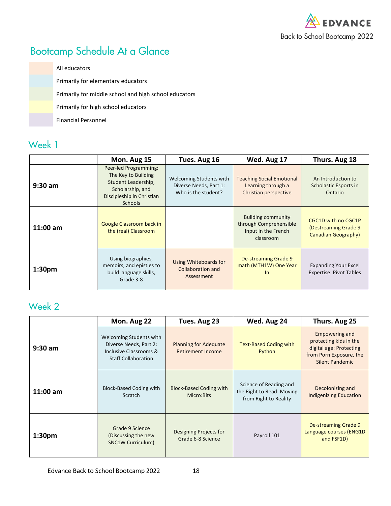

# Bootcamp Schedule At a Glance

All educators Primarily for elementary educators Primarily for middle school and high school educators Primarily for high school educators Financial Personnel

# Week 1

|                    | Mon. Aug 15                                                                                                                            | Tues. Aug 16                                                             | Wed. Aug 17                                                                             | Thurs. Aug 18                                                             |
|--------------------|----------------------------------------------------------------------------------------------------------------------------------------|--------------------------------------------------------------------------|-----------------------------------------------------------------------------------------|---------------------------------------------------------------------------|
| $9:30$ am          | Peer-led Programming:<br>The Key to Building<br>Student Leadership,<br>Scholarship, and<br>Discipleship in Christian<br><b>Schools</b> | Welcoming Students with<br>Diverse Needs, Part 1:<br>Who is the student? | <b>Teaching Social Emotional</b><br>Learning through a<br>Christian perspective         | An Introduction to<br>Scholastic Esports in<br>Ontario                    |
| $11:00$ am         | Google Classroom back in<br>the (real) Classroom                                                                                       |                                                                          | <b>Building community</b><br>through Comprehensible<br>Input in the French<br>classroom | CGC1D with no CGC1P<br>(Destreaming Grade 9<br><b>Canadian Geography)</b> |
| 1:30 <sub>pm</sub> | Using biographies,<br>memoirs, and epistles to<br>build language skills,<br>Grade 3-8                                                  | Using Whiteboards for<br><b>Collaboration and</b><br>Assessment          | De-streaming Grade 9<br>math (MTH1W) One Year<br>$\ln$                                  | <b>Expanding Your Excel</b><br><b>Expertise: Pivot Tables</b>             |

# Week 2

|                    | Mon. Aug 22                                                                                               | Tues. Aug 23                                      | Wed. Aug 24                                                                  | Thurs. Aug 25                                                                                                            |
|--------------------|-----------------------------------------------------------------------------------------------------------|---------------------------------------------------|------------------------------------------------------------------------------|--------------------------------------------------------------------------------------------------------------------------|
| $9:30$ am          | Welcoming Students with<br>Diverse Needs, Part 2:<br>Inclusive Classrooms &<br><b>Staff Collaboration</b> | <b>Planning for Adequate</b><br>Retirement Income | <b>Text-Based Coding with</b><br>Python                                      | Empowering and<br>protecting kids in the<br>digital age: Protecting<br>from Porn Exposure, the<br><b>Silent Pandemic</b> |
| $11:00$ am         | <b>Block-Based Coding with</b><br>Scratch                                                                 | <b>Block-Based Coding with</b><br>Micro:Bits      | Science of Reading and<br>the Right to Read: Moving<br>from Right to Reality | Decolonizing and<br><b>Indigenizing Education</b>                                                                        |
| 1:30 <sub>pm</sub> | Grade 9 Science<br>(Discussing the new<br><b>SNC1W Curriculum)</b>                                        | Designing Projects for<br>Grade 6-8 Science       | Payroll 101                                                                  | De-streaming Grade 9<br>Language courses (ENG1D<br>and FSF1D)                                                            |